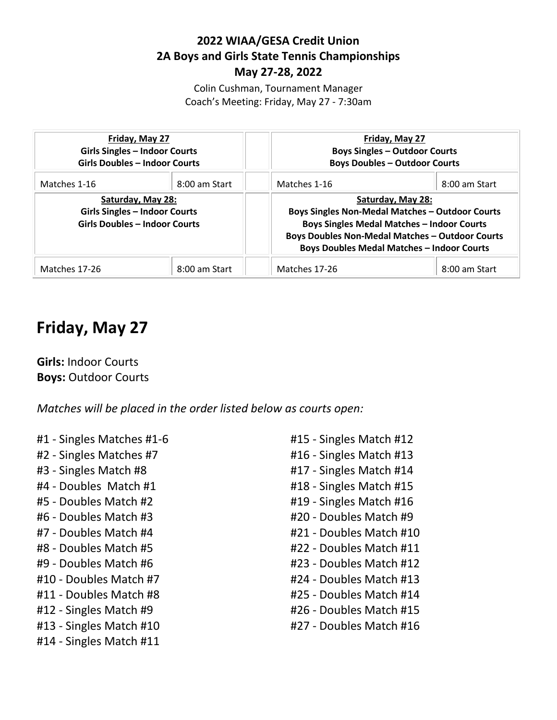#### **2022 WIAA/GESA Credit Union 2A Boys and Girls State Tennis Championships May 27-28, 2022**

Colin Cushman, Tournament Manager Coach's Meeting: Friday, May 27 - 7:30am

| Friday, May 27<br><b>Girls Singles - Indoor Courts</b><br><b>Girls Doubles - Indoor Courts</b>    |               | Friday, May 27<br><b>Boys Singles - Outdoor Courts</b><br><b>Boys Doubles - Outdoor Courts</b>                                                                                                                                                  |               |
|---------------------------------------------------------------------------------------------------|---------------|-------------------------------------------------------------------------------------------------------------------------------------------------------------------------------------------------------------------------------------------------|---------------|
| Matches 1-16                                                                                      | 8:00 am Start | Matches 1-16                                                                                                                                                                                                                                    | 8:00 am Start |
| Saturday, May 28:<br><b>Girls Singles - Indoor Courts</b><br><b>Girls Doubles - Indoor Courts</b> |               | Saturday, May 28:<br><b>Boys Singles Non-Medal Matches - Outdoor Courts</b><br><b>Boys Singles Medal Matches - Indoor Courts</b><br><b>Boys Doubles Non-Medal Matches - Outdoor Courts</b><br><b>Boys Doubles Medal Matches - Indoor Courts</b> |               |
| Matches 17-26                                                                                     | 8:00 am Start | Matches 17-26                                                                                                                                                                                                                                   | 8:00 am Start |

# **Friday, May 27**

**Girls:** Indoor Courts **Boys:** Outdoor Courts

*Matches will be placed in the order listed below as courts open:*

- #1 Singles Matches #1-6
- #2 Singles Matches #7
- #3 Singles Match #8
- #4 Doubles Match #1
- #5 Doubles Match #2
- #6 Doubles Match #3
- #7 Doubles Match #4
- #8 Doubles Match #5
- #9 Doubles Match #6
- #10 Doubles Match #7
- #11 Doubles Match #8
- #12 Singles Match #9
- #13 Singles Match #10
- #14 Singles Match #11
- #15 Singles Match #12
- #16 Singles Match #13
- #17 Singles Match #14
- #18 Singles Match #15
- #19 Singles Match #16
- #20 Doubles Match #9
- #21 Doubles Match #10
- #22 Doubles Match #11
- #23 Doubles Match #12
- #24 Doubles Match #13
- #25 Doubles Match #14
- #26 Doubles Match #15
- #27 Doubles Match #16